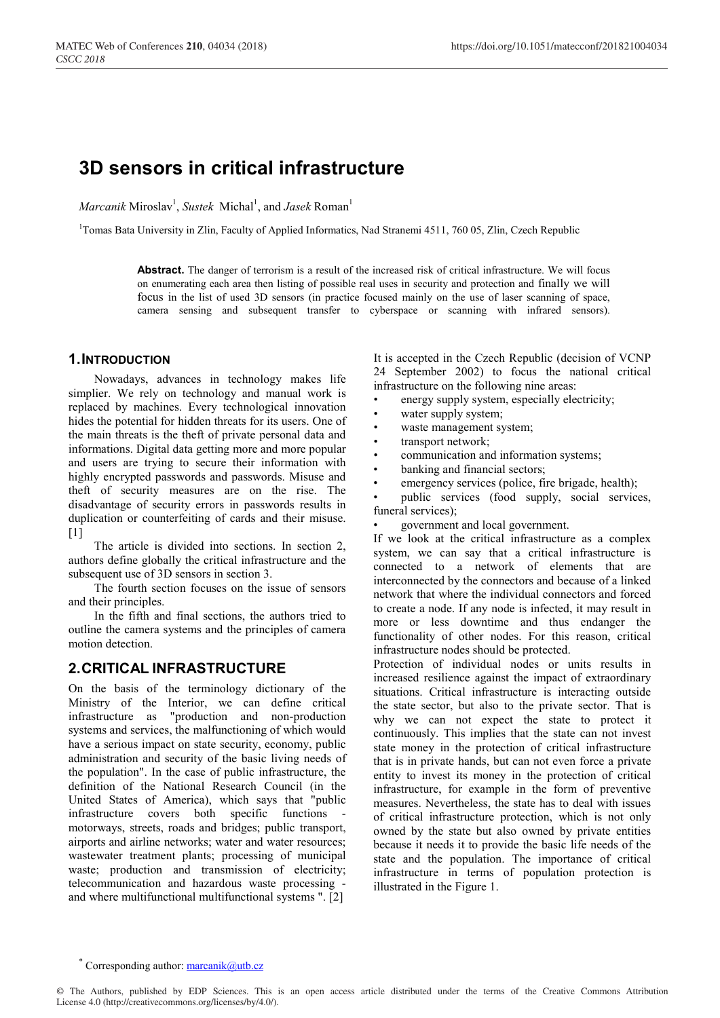# **3D sensors in critical infrastructure**

*Marcanik* Miroslav<sup>1</sup>, *Sustek* Michal<sup>1</sup>, and *Jasek* Roman<sup>1</sup>

<sup>1</sup>Tomas Bata University in Zlin, Faculty of Applied Informatics, Nad Stranemi 4511, 760 05, Zlin, Czech Republic

**Abstract.** The danger of terrorism is a result of the increased risk of critical infrastructure. We will focus on enumerating each area then listing of possible real uses in security and protection and finally we will focus in the list of used 3D sensors (in practice focused mainly on the use of laser scanning of space, camera sensing and subsequent transfer to cyberspace or scanning with infrared sensors).

#### **1.INTRODUCTION**

Nowadays, advances in technology makes life simplier. We rely on technology and manual work is replaced by machines. Every technological innovation hides the potential for hidden threats for its users. One of the main threats is the theft of private personal data and informations. Digital data getting more and more popular and users are trying to secure their information with highly encrypted passwords and passwords. Misuse and theft of security measures are on the rise. The disadvantage of security errors in passwords results in duplication or counterfeiting of cards and their misuse. [1]

The article is divided into sections. In section 2, authors define globally the critical infrastructure and the subsequent use of 3D sensors in section 3.

The fourth section focuses on the issue of sensors and their principles.

In the fifth and final sections, the authors tried to outline the camera systems and the principles of camera motion detection.

### **2.CRITICAL INFRASTRUCTURE**

On the basis of the terminology dictionary of the Ministry of the Interior, we can define critical infrastructure as "production and non-production systems and services, the malfunctioning of which would have a serious impact on state security, economy, public administration and security of the basic living needs of the population". In the case of public infrastructure, the definition of the National Research Council (in the United States of America), which says that "public infrastructure covers both specific functions motorways, streets, roads and bridges; public transport, airports and airline networks; water and water resources; wastewater treatment plants; processing of municipal waste; production and transmission of electricity; telecommunication and hazardous waste processing and where multifunctional multifunctional systems ". [2]

It is accepted in the Czech Republic (decision of VCNP 24 September 2002) to focus the national critical infrastructure on the following nine areas:

- energy supply system, especially electricity;
- water supply system;
- waste management system;
- transport network;
- communication and information systems;
- banking and financial sectors;
- emergency services (police, fire brigade, health);

• public services (food supply, social services, funeral services);

• government and local government.

If we look at the critical infrastructure as a complex system, we can say that a critical infrastructure is connected to a network of elements that are interconnected by the connectors and because of a linked network that where the individual connectors and forced to create a node. If any node is infected, it may result in more or less downtime and thus endanger the functionality of other nodes. For this reason, critical infrastructure nodes should be protected.

Protection of individual nodes or units results in increased resilience against the impact of extraordinary situations. Critical infrastructure is interacting outside the state sector, but also to the private sector. That is why we can not expect the state to protect it continuously. This implies that the state can not invest state money in the protection of critical infrastructure that is in private hands, but can not even force a private entity to invest its money in the protection of critical infrastructure, for example in the form of preventive measures. Nevertheless, the state has to deal with issues of critical infrastructure protection, which is not only owned by the state but also owned by private entities because it needs it to provide the basic life needs of the state and the population. The importance of critical infrastructure in terms of population protection is illustrated in the Figure 1.

<sup>\*</sup> Corresponding author:  $\frac{\text{macro}}{\text{macro}}$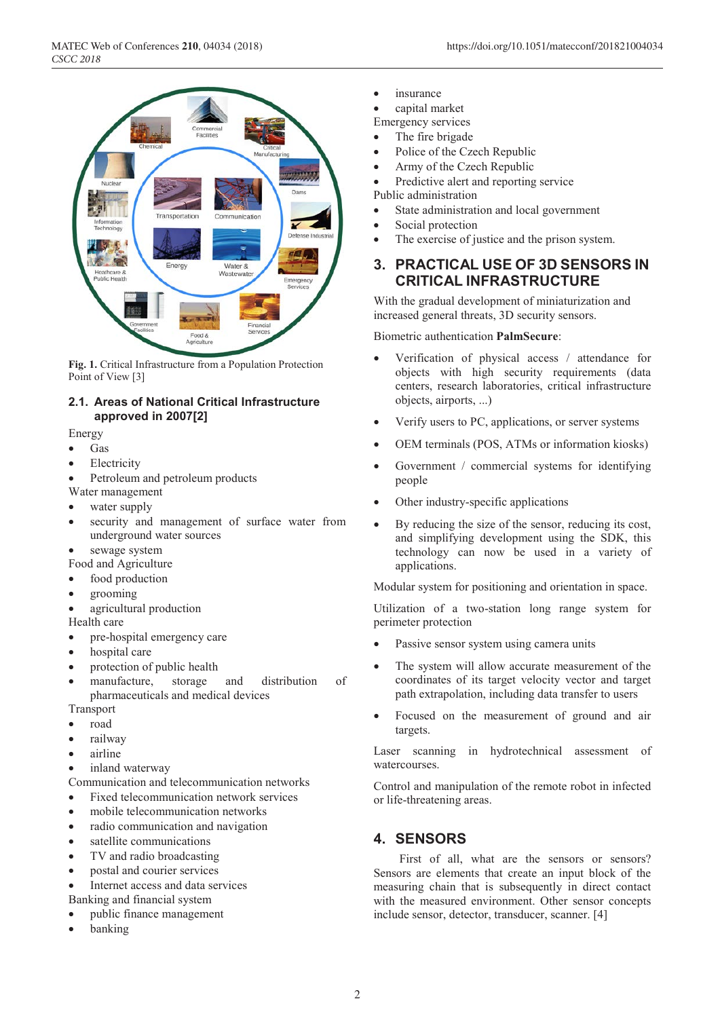

**Fig. 1.** Critical Infrastructure from a Population Protection Point of View [3]

### **2.1. Areas of National Critical Infrastructure approved in 2007[2]**

### Energy

- Gas
- Electricity
- Petroleum and petroleum products
- Water management
- water supply
- security and management of surface water from underground water sources
- sewage system
- Food and Agriculture
- food production
- grooming
- agricultural production
- Health care
- pre-hospital emergency care
- hospital care
- protection of public health
- manufacture, storage and distribution of pharmaceuticals and medical devices

Transport

- road
- railway
- airline
- inland waterway
- Communication and telecommunication networks
- Fixed telecommunication network services
- mobile telecommunication networks
- radio communication and navigation
- satellite communications
- TV and radio broadcasting
- postal and courier services
- Internet access and data services Banking and financial system
- public finance management
- banking

• insurance

• capital market

- Emergency services
- The fire brigade
- Police of the Czech Republic
- Army of the Czech Republic
- Predictive alert and reporting service Public administration
- State administration and local government
- Social protection
- The exercise of justice and the prison system.

# **3. PRACTICAL USE OF 3D SENSORS IN CRITICAL INFRASTRUCTURE**

With the gradual development of miniaturization and increased general threats, 3D security sensors.

#### Biometric authentication **PalmSecure**:

- Verification of physical access / attendance for objects with high security requirements (data centers, research laboratories, critical infrastructure objects, airports, ...)
- Verify users to PC, applications, or server systems
- OEM terminals (POS, ATMs or information kiosks)
- Government / commercial systems for identifying people
- Other industry-specific applications
- By reducing the size of the sensor, reducing its cost, and simplifying development using the SDK, this technology can now be used in a variety of applications.

Modular system for positioning and orientation in space.

Utilization of a two-station long range system for perimeter protection

- Passive sensor system using camera units
- The system will allow accurate measurement of the coordinates of its target velocity vector and target path extrapolation, including data transfer to users
- Focused on the measurement of ground and air targets.

Laser scanning in hydrotechnical assessment of watercourses.

Control and manipulation of the remote robot in infected or life-threatening areas.

# **4. SENSORS**

First of all, what are the sensors or sensors? Sensors are elements that create an input block of the measuring chain that is subsequently in direct contact with the measured environment. Other sensor concepts include sensor, detector, transducer, scanner. [4]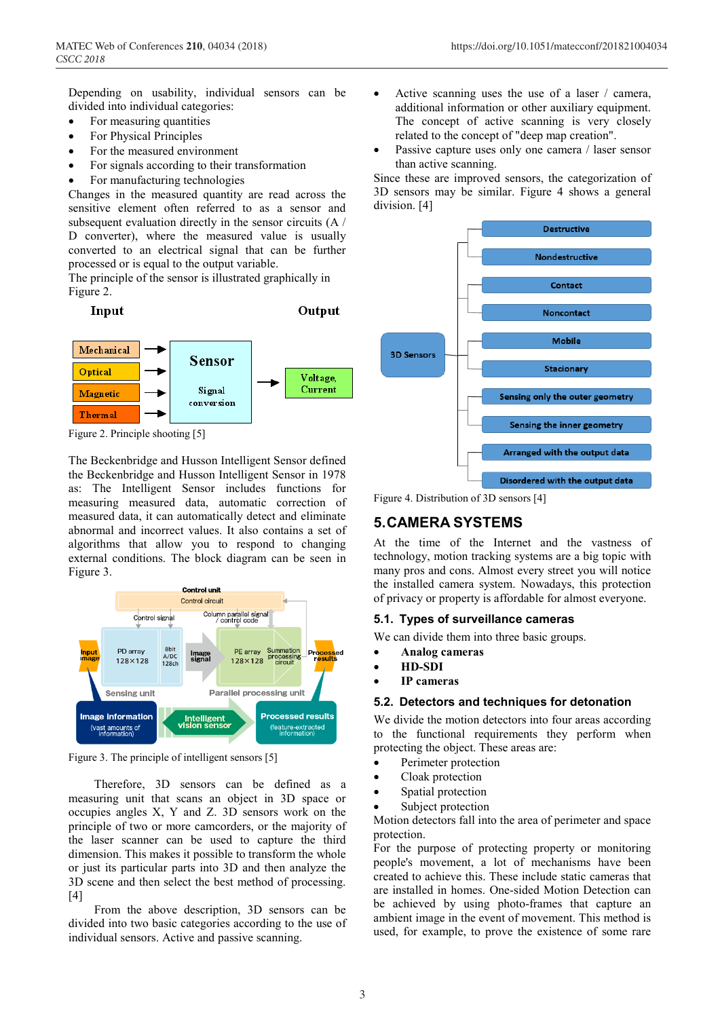Depending on usability, individual sensors can be divided into individual categories:

- For measuring quantities
- For Physical Principles
- For the measured environment
- For signals according to their transformation
- For manufacturing technologies

Changes in the measured quantity are read across the sensitive element often referred to as a sensor and subsequent evaluation directly in the sensor circuits (A / D converter), where the measured value is usually converted to an electrical signal that can be further processed or is equal to the output variable.

The principle of the sensor is illustrated graphically in Figure 2.



Output



Figure 2. Principle shooting [5]

The Beckenbridge and Husson Intelligent Sensor defined the Beckenbridge and Husson Intelligent Sensor in 1978 as: The Intelligent Sensor includes functions for measuring measured data, automatic correction of measured data, it can automatically detect and eliminate abnormal and incorrect values. It also contains a set of algorithms that allow you to respond to changing external conditions. The block diagram can be seen in Figure 3.



Figure 3. The principle of intelligent sensors [5]

Therefore, 3D sensors can be defined as a measuring unit that scans an object in 3D space or occupies angles X, Y and Z. 3D sensors work on the principle of two or more camcorders, or the majority of the laser scanner can be used to capture the third dimension. This makes it possible to transform the whole or just its particular parts into 3D and then analyze the 3D scene and then select the best method of processing. [4]

From the above description, 3D sensors can be divided into two basic categories according to the use of individual sensors. Active and passive scanning.

- Active scanning uses the use of a laser / camera, additional information or other auxiliary equipment. The concept of active scanning is very closely related to the concept of "deep map creation".
- Passive capture uses only one camera / laser sensor than active scanning.

Since these are improved sensors, the categorization of 3D sensors may be similar. Figure 4 shows a general division. [4]



Figure 4. Distribution of 3D sensors [4]

# **5.CAMERA SYSTEMS**

At the time of the Internet and the vastness of technology, motion tracking systems are a big topic with many pros and cons. Almost every street you will notice the installed camera system. Nowadays, this protection of privacy or property is affordable for almost everyone.

### **5.1. Types of surveillance cameras**

We can divide them into three basic groups.

- **Analog cameras**
- **HD-SDI**
- **IP cameras**

### **5.2. Detectors and techniques for detonation**

We divide the motion detectors into four areas according to the functional requirements they perform when protecting the object. These areas are:

- Perimeter protection
- Cloak protection
- Spatial protection
- Subject protection

Motion detectors fall into the area of perimeter and space protection.

For the purpose of protecting property or monitoring people's movement, a lot of mechanisms have been created to achieve this. These include static cameras that are installed in homes. One-sided Motion Detection can be achieved by using photo-frames that capture an ambient image in the event of movement. This method is used, for example, to prove the existence of some rare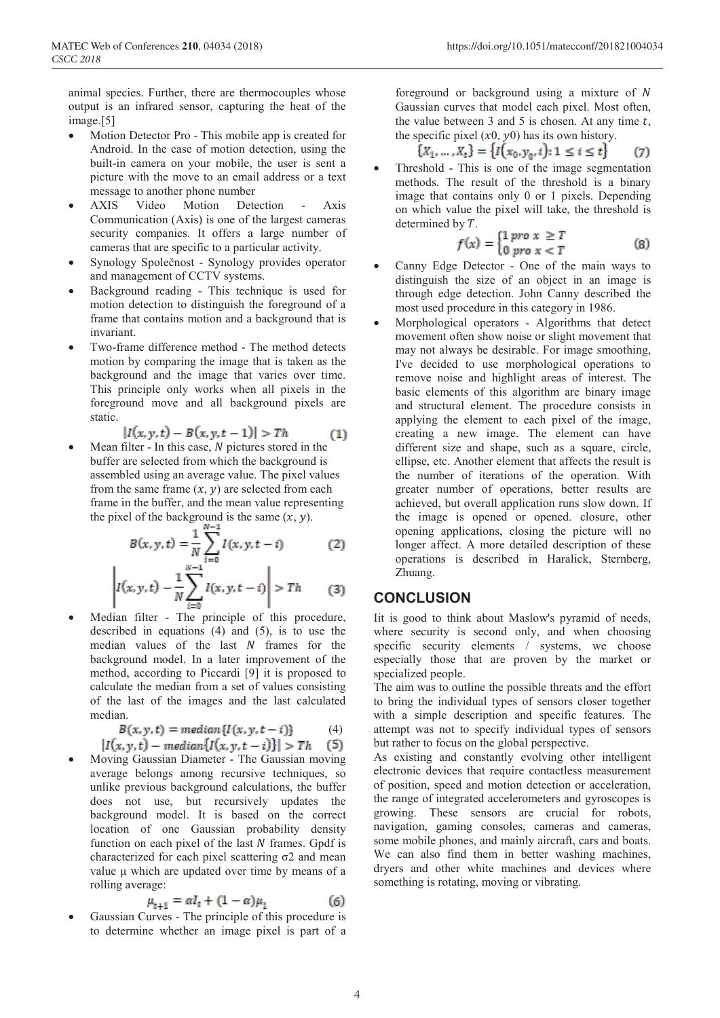animal species. Further, there are thermocouples whose output is an infrared sensor, capturing the heat of the image.[5]

- Motion Detector Pro This mobile app is created for Android. In the case of motion detection, using the built-in camera on your mobile, the user is sent a picture with the move to an email address or a text message to another phone number
- AXIS Video Motion Detection Axis Communication (Axis) is one of the largest cameras security companies. It offers a large number of cameras that are specific to a particular activity.
- Synology Společnost Synology provides operator and management of CCTV systems.
- Background reading This technique is used for motion detection to distinguish the foreground of a frame that contains motion and a background that is invariant.
- Two-frame difference method The method detects motion by comparing the image that is taken as the background and the image that varies over time. This principle only works when all pixels in the foreground move and all background pixels are static.

$$
|I(x, y, t) - B(x, y, t-1)| > Th
$$
 (1)

Mean filter - In this case,  $N$  pictures stored in the buffer are selected from which the background is assembled using an average value. The pixel values from the same frame  $(x, y)$  are selected from each frame in the buffer, and the mean value representing the pixel of the background is the same  $(x, y)$ .

$$
B(x, y, t) = \frac{1}{N} \sum_{i=0}^{N-1} I(x, y, t - i)
$$
 (2)

$$
\left| I(x, y, t) - \frac{1}{N} \sum_{i=0}^{N-1} I(x, y, t-i) \right| > Th \qquad (3)
$$

Median filter - The principle of this procedure, described in equations (4) and (5), is to use the median values of the last  $N$  frames for the background model. In a later improvement of the method, according to Piccardi [9] it is proposed to calculate the median from a set of values consisting of the last of the images and the last calculated median.

$$
B(x, y, t) = median{I(x, y, t - i)} \qquad (4)
$$

$$
|I(x,y,t) - median{I(x,y,t-i)}| > Th
$$
 (5)

• Moving Gaussian Diameter - The Gaussian moving average belongs among recursive techniques, so unlike previous background calculations, the buffer does not use, but recursively updates the background model. It is based on the correct location of one Gaussian probability density function on each pixel of the last  $N$  frames. Gpdf is characterized for each pixel scattering  $σ2$  and mean value μ which are updated over time by means of a rolling average:

$$
\mu_{t+1} = \alpha l_t + (1 - \alpha)\mu_1 \tag{6}
$$

Gaussian Curves - The principle of this procedure is to determine whether an image pixel is part of a

foreground or background using a mixture of  $N$ Gaussian curves that model each pixel. Most often, the value between 3 and 5 is chosen. At any time  $t$ , the specific pixel  $(x0, y0)$  has its own history.

$$
\{X_1, \ldots, X_t\} = \{I(x_0, y_0, i): 1 \le i \le t\}
$$
 (7)

• Threshold - This is one of the image segmentation methods. The result of the threshold is a binary image that contains only 0 or 1 pixels. Depending on which value the pixel will take, the threshold is determined by  $T$ .

$$
f(x) = \begin{cases} 1 \text{ pro } x \geq T \\ 0 \text{ pro } x < T \end{cases} \tag{8}
$$

- Canny Edge Detector One of the main ways to distinguish the size of an object in an image is through edge detection. John Canny described the most used procedure in this category in 1986.
- Morphological operators Algorithms that detect movement often show noise or slight movement that may not always be desirable. For image smoothing, I've decided to use morphological operations to remove noise and highlight areas of interest. The basic elements of this algorithm are binary image and structural element. The procedure consists in applying the element to each pixel of the image, creating a new image. The element can have different size and shape, such as a square, circle, ellipse, etc. Another element that affects the result is the number of iterations of the operation. With greater number of operations, better results are achieved, but overall application runs slow down. If the image is opened or opened. closure, other opening applications, closing the picture will no longer affect. A more detailed description of these operations is described in Haralick, Sternberg, Zhuang.

### **CONCLUSION**

Iit is good to think about Maslow's pyramid of needs, where security is second only, and when choosing specific security elements / systems, we choose especially those that are proven by the market or specialized people.

The aim was to outline the possible threats and the effort to bring the individual types of sensors closer together with a simple description and specific features. The attempt was not to specify individual types of sensors but rather to focus on the global perspective.

As existing and constantly evolving other intelligent electronic devices that require contactless measurement of position, speed and motion detection or acceleration, the range of integrated accelerometers and gyroscopes is growing. These sensors are crucial for robots, navigation, gaming consoles, cameras and cameras, some mobile phones, and mainly aircraft, cars and boats. We can also find them in better washing machines, dryers and other white machines and devices where something is rotating, moving or vibrating.